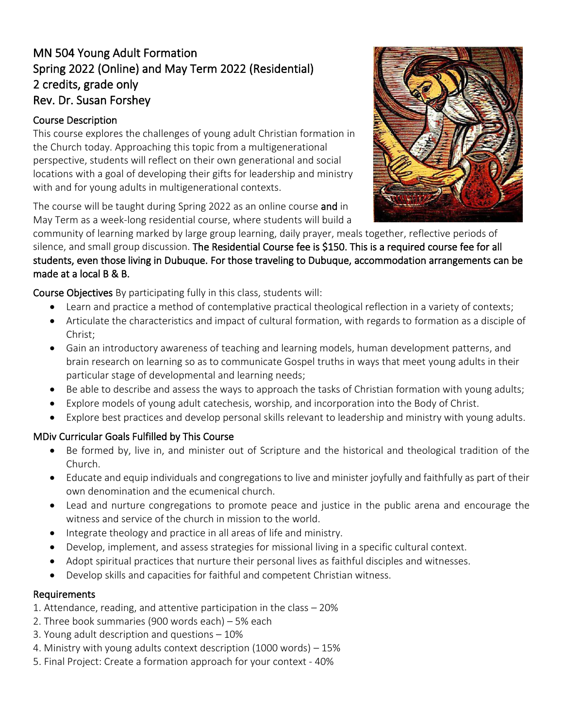# MN 504 Young Adult Formation Spring 2022 (Online) and May Term 2022 (Residential) 2 credits, grade only Rev. Dr. Susan Forshey

## Course Description

This course explores the challenges of young adult Christian formation in the Church today. Approaching this topic from a multigenerational perspective, students will reflect on their own generational and social locations with a goal of developing their gifts for leadership and ministry with and for young adults in multigenerational contexts.

The course will be taught during Spring 2022 as an online course and in May Term as a week-long residential course, where students will build a



community of learning marked by large group learning, daily prayer, meals together, reflective periods of silence, and small group discussion. The Residential Course fee is \$150. This is a required course fee for all students, even those living in Dubuque. For those traveling to Dubuque, accommodation arrangements can be made at a local B & B.

Course Objectives By participating fully in this class, students will:

- Learn and practice a method of contemplative practical theological reflection in a variety of contexts;
- Articulate the characteristics and impact of cultural formation, with regards to formation as a disciple of Christ;
- Gain an introductory awareness of teaching and learning models, human development patterns, and brain research on learning so as to communicate Gospel truths in ways that meet young adults in their particular stage of developmental and learning needs;
- Be able to describe and assess the ways to approach the tasks of Christian formation with young adults;
- Explore models of young adult catechesis, worship, and incorporation into the Body of Christ.
- Explore best practices and develop personal skills relevant to leadership and ministry with young adults.

## MDiv Curricular Goals Fulfilled by This Course

- Be formed by, live in, and minister out of Scripture and the historical and theological tradition of the Church.
- Educate and equip individuals and congregations to live and minister joyfully and faithfully as part of their own denomination and the ecumenical church.
- Lead and nurture congregations to promote peace and justice in the public arena and encourage the witness and service of the church in mission to the world.
- Integrate theology and practice in all areas of life and ministry.
- Develop, implement, and assess strategies for missional living in a specific cultural context.
- Adopt spiritual practices that nurture their personal lives as faithful disciples and witnesses.
- Develop skills and capacities for faithful and competent Christian witness.

#### Requirements

- 1. Attendance, reading, and attentive participation in the class 20%
- 2. Three book summaries (900 words each) 5% each
- 3. Young adult description and questions 10%
- 4. Ministry with young adults context description (1000 words) 15%
- 5. Final Project: Create a formation approach for your context 40%